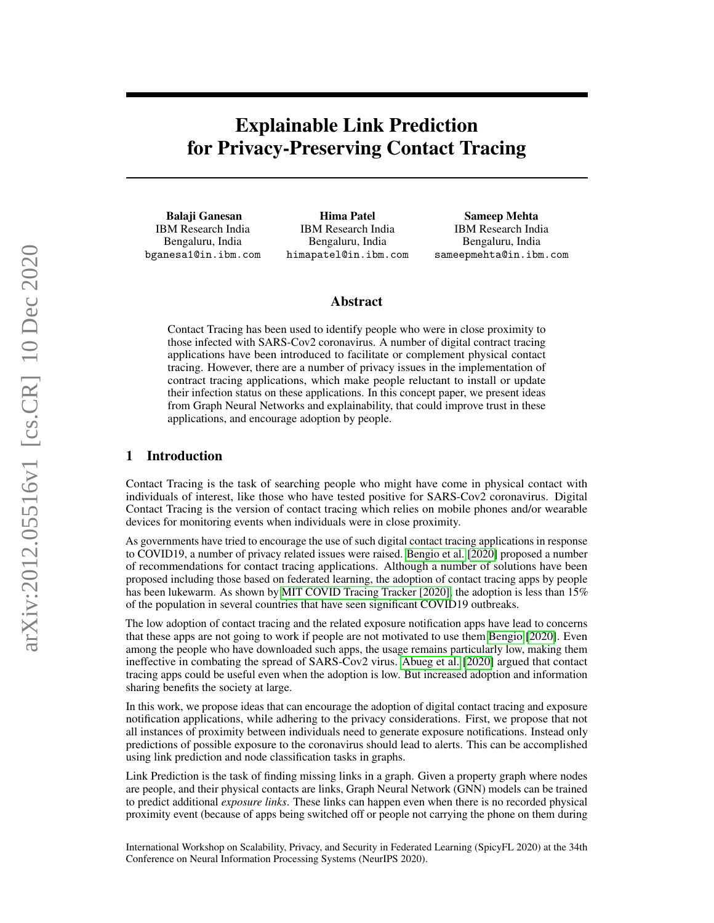# Explainable Link Prediction for Privacy-Preserving Contact Tracing

Balaji Ganesan IBM Research India Bengaluru, India bganesa1@in.ibm.com

Hima Patel IBM Research India Bengaluru, India himapatel@in.ibm.com

Sameep Mehta IBM Research India Bengaluru, India sameepmehta@in.ibm.com

#### Abstract

Contact Tracing has been used to identify people who were in close proximity to those infected with SARS-Cov2 coronavirus. A number of digital contract tracing applications have been introduced to facilitate or complement physical contact tracing. However, there are a number of privacy issues in the implementation of contract tracing applications, which make people reluctant to install or update their infection status on these applications. In this concept paper, we present ideas from Graph Neural Networks and explainability, that could improve trust in these applications, and encourage adoption by people.

#### 1 Introduction

Contact Tracing is the task of searching people who might have come in physical contact with individuals of interest, like those who have tested positive for SARS-Cov2 coronavirus. Digital Contact Tracing is the version of contact tracing which relies on mobile phones and/or wearable devices for monitoring events when individuals were in close proximity.

As governments have tried to encourage the use of such digital contact tracing applications in response to COVID19, a number of privacy related issues were raised. [Bengio et al.](#page-6-0) [\[2020\]](#page-6-0) proposed a number of recommendations for contact tracing applications. Although a number of solutions have been proposed including those based on federated learning, the adoption of contact tracing apps by people has been lukewarm. As shown by [MIT COVID Tracing Tracker \[2020\],](#page-6-1) the adoption is less than 15% of the population in several countries that have seen significant COVID19 outbreaks.

The low adoption of contact tracing and the related exposure notification apps have lead to concerns that these apps are not going to work if people are not motivated to use them [Bengio](#page-6-2) [\[2020\]](#page-6-2). Even among the people who have downloaded such apps, the usage remains particularly low, making them ineffective in combating the spread of SARS-Cov2 virus. [Abueg et al.](#page-6-3) [\[2020\]](#page-6-3) argued that contact tracing apps could be useful even when the adoption is low. But increased adoption and information sharing benefits the society at large.

In this work, we propose ideas that can encourage the adoption of digital contact tracing and exposure notification applications, while adhering to the privacy considerations. First, we propose that not all instances of proximity between individuals need to generate exposure notifications. Instead only predictions of possible exposure to the coronavirus should lead to alerts. This can be accomplished using link prediction and node classification tasks in graphs.

Link Prediction is the task of finding missing links in a graph. Given a property graph where nodes are people, and their physical contacts are links, Graph Neural Network (GNN) models can be trained to predict additional *exposure links*. These links can happen even when there is no recorded physical proximity event (because of apps being switched off or people not carrying the phone on them during

International Workshop on Scalability, Privacy, and Security in Federated Learning (SpicyFL 2020) at the 34th Conference on Neural Information Processing Systems (NeurIPS 2020).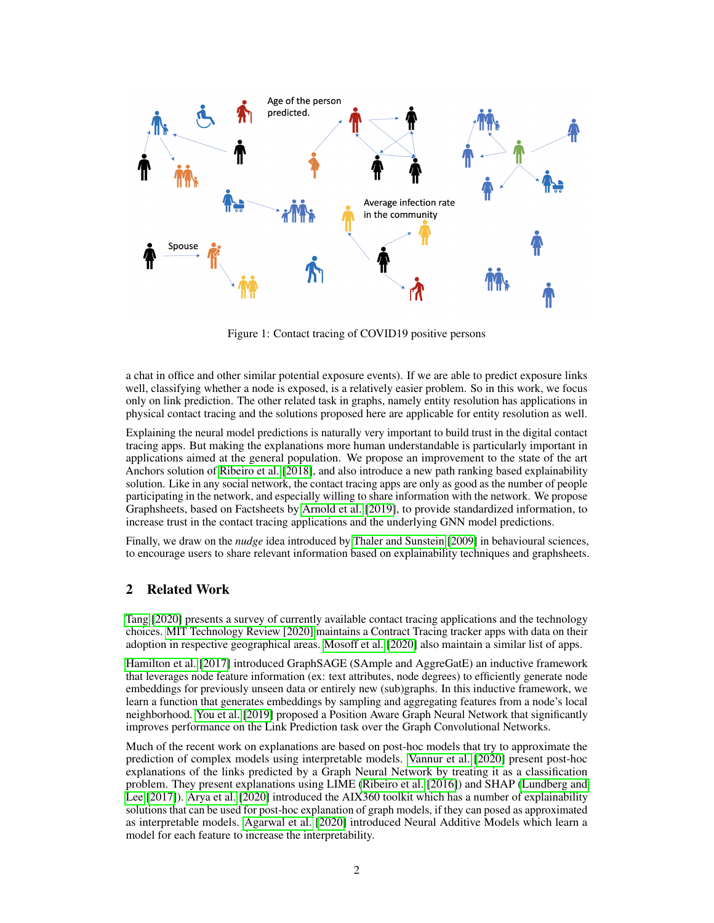

Figure 1: Contact tracing of COVID19 positive persons

a chat in office and other similar potential exposure events). If we are able to predict exposure links well, classifying whether a node is exposed, is a relatively easier problem. So in this work, we focus only on link prediction. The other related task in graphs, namely entity resolution has applications in physical contact tracing and the solutions proposed here are applicable for entity resolution as well.

Explaining the neural model predictions is naturally very important to build trust in the digital contact tracing apps. But making the explanations more human understandable is particularly important in applications aimed at the general population. We propose an improvement to the state of the art Anchors solution of [Ribeiro et al.](#page-7-0) [\[2018\]](#page-7-0), and also introduce a new path ranking based explainability solution. Like in any social network, the contact tracing apps are only as good as the number of people participating in the network, and especially willing to share information with the network. We propose Graphsheets, based on Factsheets by [Arnold et al.](#page-6-4) [\[2019\]](#page-6-4), to provide standardized information, to increase trust in the contact tracing applications and the underlying GNN model predictions.

Finally, we draw on the *nudge* idea introduced by [Thaler and Sunstein](#page-7-1) [\[2009\]](#page-7-1) in behavioural sciences, to encourage users to share relevant information based on explainability techniques and graphsheets.

## 2 Related Work

[Tang](#page-7-2) [\[2020\]](#page-7-2) presents a survey of currently available contact tracing applications and the technology choices. [MIT Technology Review \[2020\]](#page-6-5) maintains a Contract Tracing tracker apps with data on their adoption in respective geographical areas. [Mosoff et al.](#page-6-6) [\[2020\]](#page-6-6) also maintain a similar list of apps.

[Hamilton et al.](#page-6-7) [\[2017\]](#page-6-7) introduced GraphSAGE (SAmple and AggreGatE) an inductive framework that leverages node feature information (ex: text attributes, node degrees) to efficiently generate node embeddings for previously unseen data or entirely new (sub)graphs. In this inductive framework, we learn a function that generates embeddings by sampling and aggregating features from a node's local neighborhood. [You et al.](#page-7-3) [\[2019\]](#page-7-3) proposed a Position Aware Graph Neural Network that significantly improves performance on the Link Prediction task over the Graph Convolutional Networks.

Much of the recent work on explanations are based on post-hoc models that try to approximate the prediction of complex models using interpretable models. [Vannur et al.](#page-7-4) [\[2020\]](#page-7-4) present post-hoc explanations of the links predicted by a Graph Neural Network by treating it as a classification problem. They present explanations using LIME [\(Ribeiro et al.](#page-7-5) [\[2016\]](#page-7-5)) and SHAP [\(Lundberg and](#page-6-8) [Lee](#page-6-8) [\[2017\]](#page-6-8)). [Arya et al.](#page-6-9) [\[2020\]](#page-6-9) introduced the AIX360 toolkit which has a number of explainability solutions that can be used for post-hoc explanation of graph models, if they can posed as approximated as interpretable models. [Agarwal et al.](#page-6-10) [\[2020\]](#page-6-10) introduced Neural Additive Models which learn a model for each feature to increase the interpretability.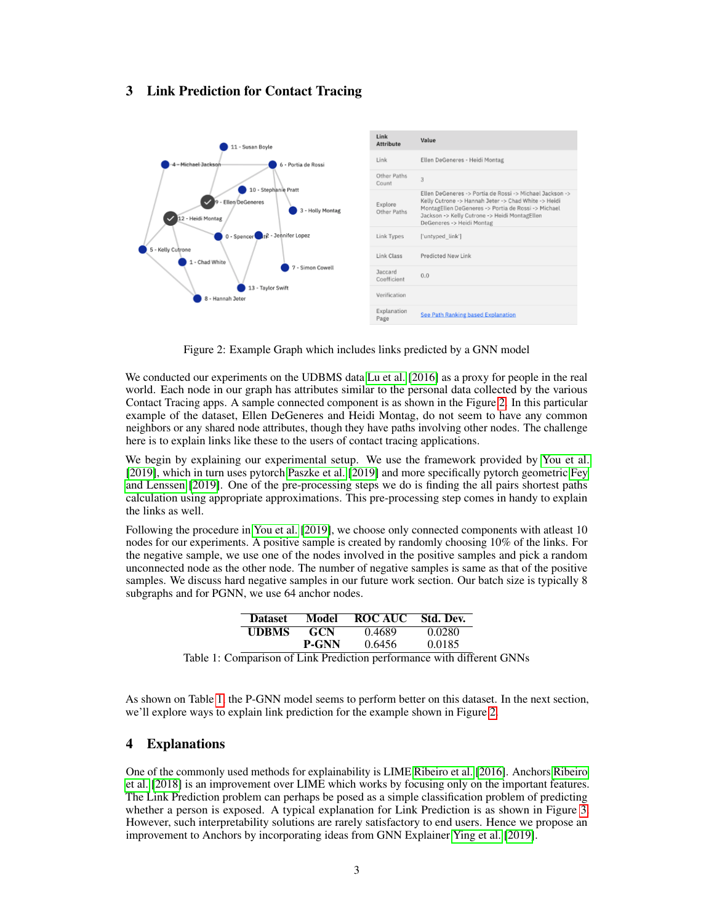#### <span id="page-2-2"></span>3 Link Prediction for Contact Tracing

<span id="page-2-0"></span>

Figure 2: Example Graph which includes links predicted by a GNN model

We conducted our experiments on the UDBMS data [Lu et al.](#page-6-11) [\[2016\]](#page-6-11) as a proxy for people in the real world. Each node in our graph has attributes similar to the personal data collected by the various Contact Tracing apps. A sample connected component is as shown in the Figure [2.](#page-2-0) In this particular example of the dataset, Ellen DeGeneres and Heidi Montag, do not seem to have any common neighbors or any shared node attributes, though they have paths involving other nodes. The challenge here is to explain links like these to the users of contact tracing applications.

We begin by explaining our experimental setup. We use the framework provided by [You et al.](#page-7-3) [\[2019\]](#page-7-3), which in turn uses pytorch [Paszke et al.](#page-7-6) [\[2019\]](#page-7-6) and more specifically pytorch geometric [Fey](#page-6-12) [and Lenssen](#page-6-12) [\[2019\]](#page-6-12). One of the pre-processing steps we do is finding the all pairs shortest paths calculation using appropriate approximations. This pre-processing step comes in handy to explain the links as well.

Following the procedure in [You et al.](#page-7-3) [\[2019\]](#page-7-3), we choose only connected components with atleast 10 nodes for our experiments. A positive sample is created by randomly choosing 10% of the links. For the negative sample, we use one of the nodes involved in the positive samples and pick a random unconnected node as the other node. The number of negative samples is same as that of the positive samples. We discuss hard negative samples in our future work section. Our batch size is typically 8 subgraphs and for PGNN, we use 64 anchor nodes.

| <b>Dataset</b> | Model        | ROC AUC Std. Dev. |        |
|----------------|--------------|-------------------|--------|
| <b>UDBMS</b>   | <b>GCN</b>   | 0.4689            | 0.0280 |
|                | <b>P-GNN</b> | 0.6456            | 0.0185 |
|                |              |                   |        |

<span id="page-2-1"></span>Table 1: Comparison of Link Prediction performance with different GNNs

As shown on Table [1,](#page-2-1) the P-GNN model seems to perform better on this dataset. In the next section, we'll explore ways to explain link prediction for the example shown in Figure [2.](#page-2-0)

#### 4 Explanations

One of the commonly used methods for explainability is LIME [Ribeiro et al.](#page-7-5) [\[2016\]](#page-7-5). Anchors [Ribeiro](#page-7-0) [et al.](#page-7-0) [\[2018\]](#page-7-0) is an improvement over LIME which works by focusing only on the important features. The Link Prediction problem can perhaps be posed as a simple classification problem of predicting whether a person is exposed. A typical explanation for Link Prediction is as shown in Figure [3.](#page-3-0) However, such interpretability solutions are rarely satisfactory to end users. Hence we propose an improvement to Anchors by incorporating ideas from GNN Explainer [Ying et al.](#page-7-7) [\[2019\]](#page-7-7).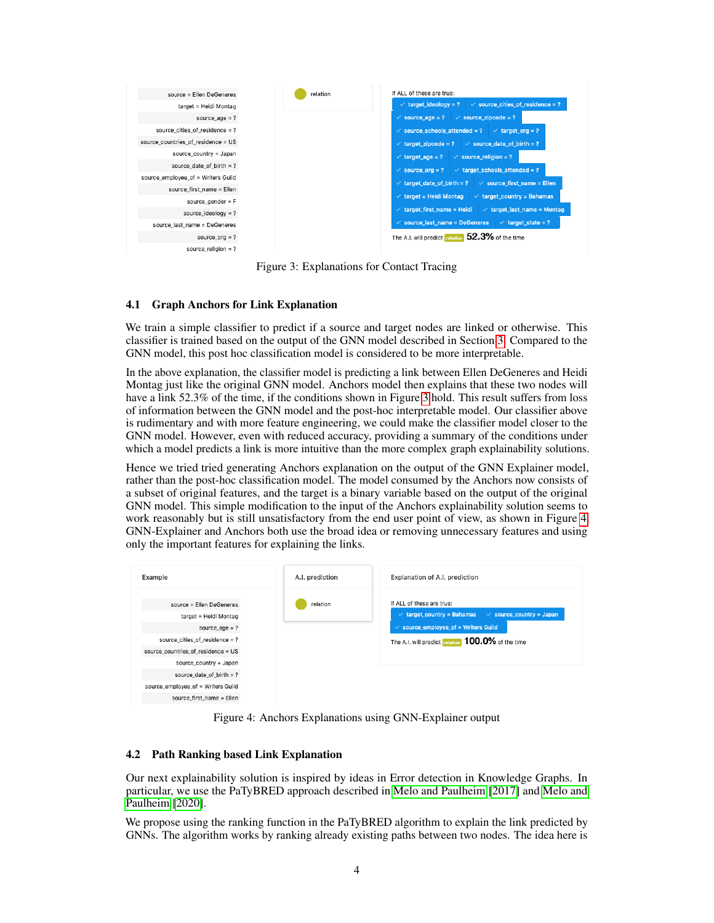<span id="page-3-0"></span>

Figure 3: Explanations for Contact Tracing

#### 4.1 Graph Anchors for Link Explanation

We train a simple classifier to predict if a source and target nodes are linked or otherwise. This classifier is trained based on the output of the GNN model described in Section [3.](#page-2-2) Compared to the GNN model, this post hoc classification model is considered to be more interpretable.

In the above explanation, the classifier model is predicting a link between Ellen DeGeneres and Heidi Montag just like the original GNN model. Anchors model then explains that these two nodes will have a link 52.3% of the time, if the conditions shown in Figure [3](#page-3-0) hold. This result suffers from loss of information between the GNN model and the post-hoc interpretable model. Our classifier above is rudimentary and with more feature engineering, we could make the classifier model closer to the GNN model. However, even with reduced accuracy, providing a summary of the conditions under which a model predicts a link is more intuitive than the more complex graph explainability solutions.

Hence we tried tried generating Anchors explanation on the output of the GNN Explainer model, rather than the post-hoc classification model. The model consumed by the Anchors now consists of a subset of original features, and the target is a binary variable based on the output of the original GNN model. This simple modification to the input of the Anchors explainability solution seems to work reasonably but is still unsatisfactory from the end user point of view, as shown in Figure [4.](#page-3-1) GNN-Explainer and Anchors both use the broad idea or removing unnecessary features and using only the important features for explaining the links.

<span id="page-3-1"></span>

Figure 4: Anchors Explanations using GNN-Explainer output

#### 4.2 Path Ranking based Link Explanation

Our next explainability solution is inspired by ideas in Error detection in Knowledge Graphs. In particular, we use the PaTyBRED approach described in [Melo and Paulheim](#page-6-13) [\[2017\]](#page-6-13) and [Melo and](#page-6-14) [Paulheim](#page-6-14) [\[2020\]](#page-6-14).

We propose using the ranking function in the PaTyBRED algorithm to explain the link predicted by GNNs. The algorithm works by ranking already existing paths between two nodes. The idea here is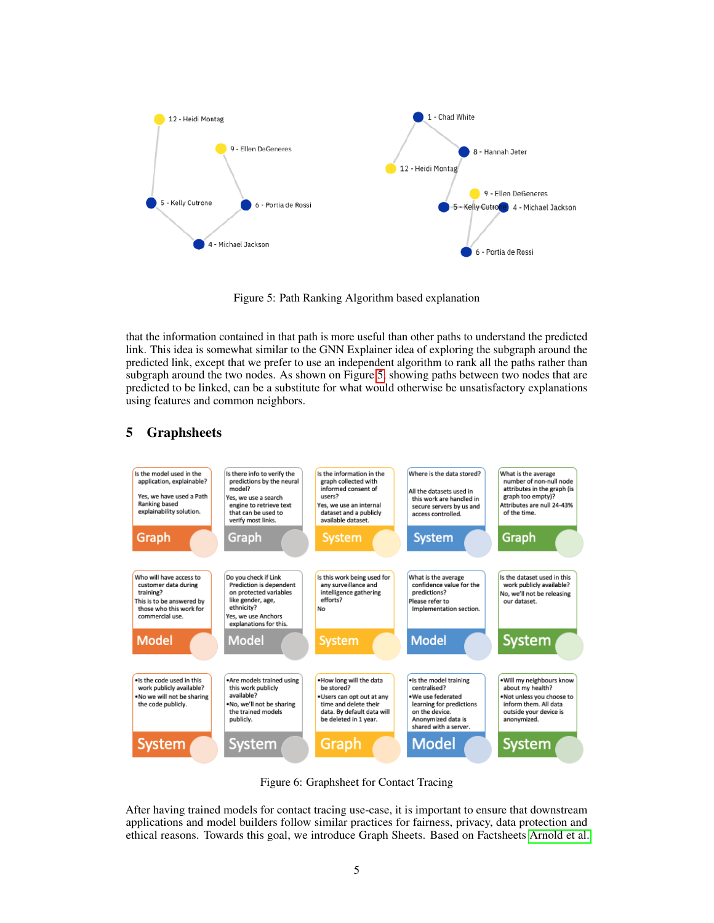<span id="page-4-0"></span>

Figure 5: Path Ranking Algorithm based explanation

that the information contained in that path is more useful than other paths to understand the predicted link. This idea is somewhat similar to the GNN Explainer idea of exploring the subgraph around the predicted link, except that we prefer to use an independent algorithm to rank all the paths rather than subgraph around the two nodes. As shown on Figure [5,](#page-4-0) showing paths between two nodes that are predicted to be linked, can be a substitute for what would otherwise be unsatisfactory explanations using features and common neighbors.

<span id="page-4-1"></span>

# 5 Graphsheets

Figure 6: Graphsheet for Contact Tracing

After having trained models for contact tracing use-case, it is important to ensure that downstream applications and model builders follow similar practices for fairness, privacy, data protection and ethical reasons. Towards this goal, we introduce Graph Sheets. Based on Factsheets [Arnold et al.](#page-6-4)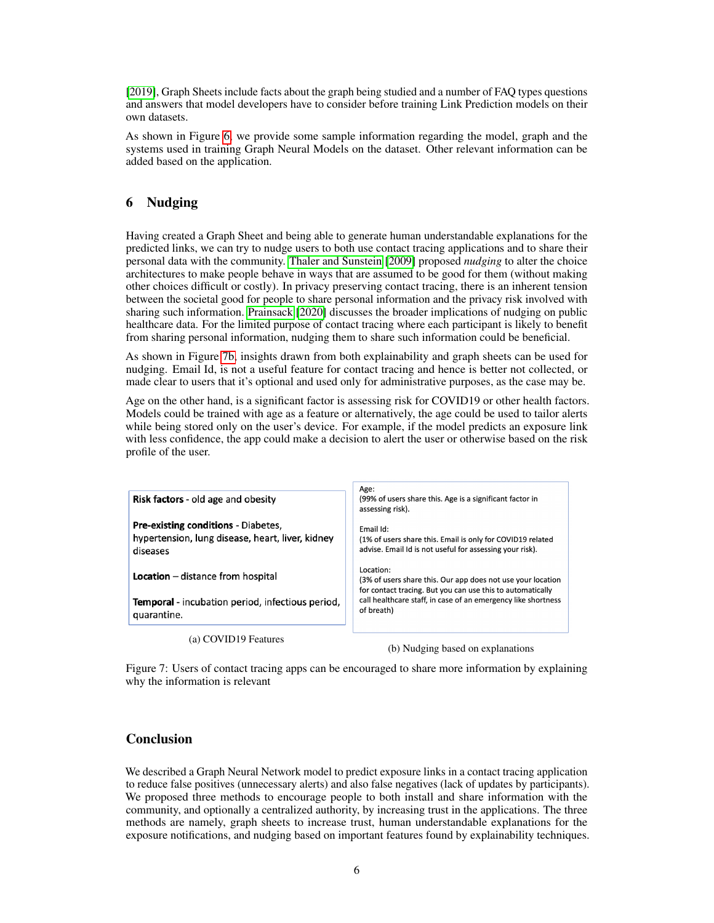[\[2019\]](#page-6-4), Graph Sheets include facts about the graph being studied and a number of FAQ types questions and answers that model developers have to consider before training Link Prediction models on their own datasets.

As shown in Figure [6,](#page-4-1) we provide some sample information regarding the model, graph and the systems used in training Graph Neural Models on the dataset. Other relevant information can be added based on the application.

### 6 Nudging

Having created a Graph Sheet and being able to generate human understandable explanations for the predicted links, we can try to nudge users to both use contact tracing applications and to share their personal data with the community. [Thaler and Sunstein](#page-7-1) [\[2009\]](#page-7-1) proposed *nudging* to alter the choice architectures to make people behave in ways that are assumed to be good for them (without making other choices difficult or costly). In privacy preserving contact tracing, there is an inherent tension between the societal good for people to share personal information and the privacy risk involved with sharing such information. [Prainsack](#page-7-8) [\[2020\]](#page-7-8) discusses the broader implications of nudging on public healthcare data. For the limited purpose of contact tracing where each participant is likely to benefit from sharing personal information, nudging them to share such information could be beneficial.

As shown in Figure [7b,](#page-5-0) insights drawn from both explainability and graph sheets can be used for nudging. Email Id, is not a useful feature for contact tracing and hence is better not collected, or made clear to users that it's optional and used only for administrative purposes, as the case may be.

Age on the other hand, is a significant factor is assessing risk for COVID19 or other health factors. Models could be trained with age as a feature or alternatively, the age could be used to tailor alerts while being stored only on the user's device. For example, if the model predicts an exposure link with less confidence, the app could make a decision to alert the user or otherwise based on the risk profile of the user.

<span id="page-5-0"></span>

| <b>Risk factors</b> - old age and obesity                                                                  | Age:<br>(99% of users share this. Age is a significant factor in<br>assessing risk).                                                                                                                                  |  |
|------------------------------------------------------------------------------------------------------------|-----------------------------------------------------------------------------------------------------------------------------------------------------------------------------------------------------------------------|--|
| <b>Pre-existing conditions - Diabetes,</b><br>hypertension, lung disease, heart, liver, kidney<br>diseases | Fmail Id:<br>(1% of users share this. Email is only for COVID19 related<br>advise. Email Id is not useful for assessing your risk).                                                                                   |  |
| <b>Location</b> $-$ distance from hospital                                                                 | Location:<br>(3% of users share this. Our app does not use your location<br>for contact tracing. But you can use this to automatically<br>call healthcare staff, in case of an emergency like shortness<br>of breath) |  |
| <b>Temporal</b> - incubation period, infectious period,<br>quarantine.                                     |                                                                                                                                                                                                                       |  |
| (a) COVID19 Features                                                                                       | (b) Nudging based on explanations                                                                                                                                                                                     |  |

Figure 7: Users of contact tracing apps can be encouraged to share more information by explaining why the information is relevant

#### Conclusion

We described a Graph Neural Network model to predict exposure links in a contact tracing application to reduce false positives (unnecessary alerts) and also false negatives (lack of updates by participants). We proposed three methods to encourage people to both install and share information with the community, and optionally a centralized authority, by increasing trust in the applications. The three methods are namely, graph sheets to increase trust, human understandable explanations for the exposure notifications, and nudging based on important features found by explainability techniques.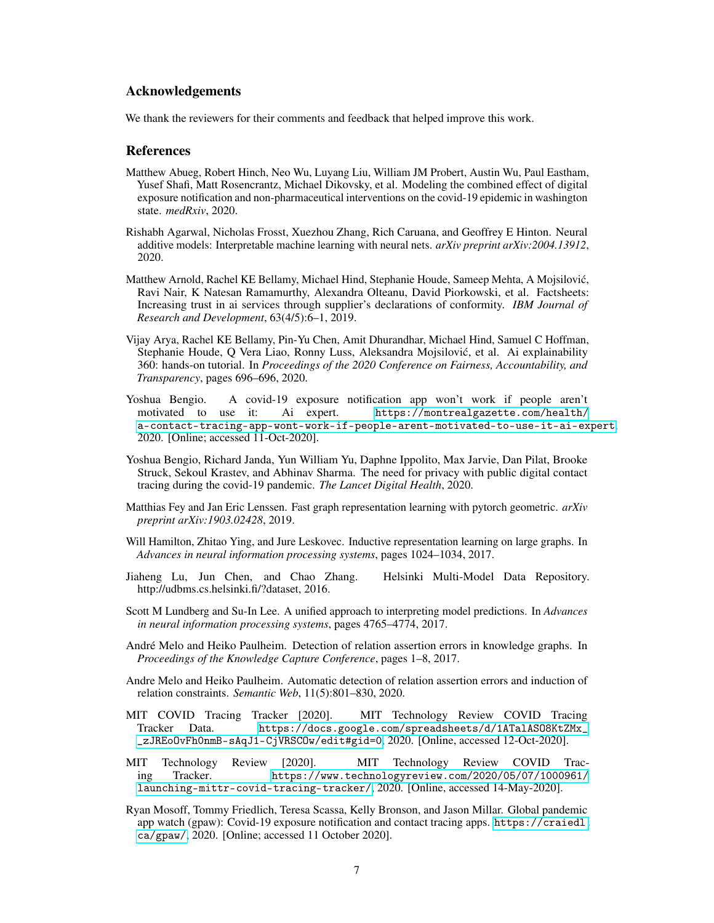#### Acknowledgements

We thank the reviewers for their comments and feedback that helped improve this work.

#### References

- <span id="page-6-3"></span>Matthew Abueg, Robert Hinch, Neo Wu, Luyang Liu, William JM Probert, Austin Wu, Paul Eastham, Yusef Shafi, Matt Rosencrantz, Michael Dikovsky, et al. Modeling the combined effect of digital exposure notification and non-pharmaceutical interventions on the covid-19 epidemic in washington state. *medRxiv*, 2020.
- <span id="page-6-10"></span>Rishabh Agarwal, Nicholas Frosst, Xuezhou Zhang, Rich Caruana, and Geoffrey E Hinton. Neural additive models: Interpretable machine learning with neural nets. *arXiv preprint arXiv:2004.13912*, 2020.
- <span id="page-6-4"></span>Matthew Arnold, Rachel KE Bellamy, Michael Hind, Stephanie Houde, Sameep Mehta, A Mojsilovic,´ Ravi Nair, K Natesan Ramamurthy, Alexandra Olteanu, David Piorkowski, et al. Factsheets: Increasing trust in ai services through supplier's declarations of conformity. *IBM Journal of Research and Development*, 63(4/5):6–1, 2019.
- <span id="page-6-9"></span>Vijay Arya, Rachel KE Bellamy, Pin-Yu Chen, Amit Dhurandhar, Michael Hind, Samuel C Hoffman, Stephanie Houde, Q Vera Liao, Ronny Luss, Aleksandra Mojsilovic, et al. Ai explainability ´ 360: hands-on tutorial. In *Proceedings of the 2020 Conference on Fairness, Accountability, and Transparency*, pages 696–696, 2020.
- <span id="page-6-2"></span>Yoshua Bengio. A covid-19 exposure notification app won't work if people aren't motivated to use it: Ai expert. [https://montrealgazette.com/health/](https://montrealgazette.com/health/a-contact-tracing-app-wont-work-if-people-arent-motivated-to-use-it-ai-expert) [a-contact-tracing-app-wont-work-if-people-arent-motivated-to-use-it-ai-expert](https://montrealgazette.com/health/a-contact-tracing-app-wont-work-if-people-arent-motivated-to-use-it-ai-expert), 2020. [Online; accessed 11-Oct-2020].
- <span id="page-6-0"></span>Yoshua Bengio, Richard Janda, Yun William Yu, Daphne Ippolito, Max Jarvie, Dan Pilat, Brooke Struck, Sekoul Krastev, and Abhinav Sharma. The need for privacy with public digital contact tracing during the covid-19 pandemic. *The Lancet Digital Health*, 2020.
- <span id="page-6-12"></span>Matthias Fey and Jan Eric Lenssen. Fast graph representation learning with pytorch geometric. *arXiv preprint arXiv:1903.02428*, 2019.
- <span id="page-6-7"></span>Will Hamilton, Zhitao Ying, and Jure Leskovec. Inductive representation learning on large graphs. In *Advances in neural information processing systems*, pages 1024–1034, 2017.
- <span id="page-6-11"></span>Jiaheng Lu, Jun Chen, and Chao Zhang. Helsinki Multi-Model Data Repository. http://udbms.cs.helsinki.fi/?dataset, 2016.
- <span id="page-6-8"></span>Scott M Lundberg and Su-In Lee. A unified approach to interpreting model predictions. In *Advances in neural information processing systems*, pages 4765–4774, 2017.
- <span id="page-6-13"></span>André Melo and Heiko Paulheim. Detection of relation assertion errors in knowledge graphs. In *Proceedings of the Knowledge Capture Conference*, pages 1–8, 2017.
- <span id="page-6-14"></span>Andre Melo and Heiko Paulheim. Automatic detection of relation assertion errors and induction of relation constraints. *Semantic Web*, 11(5):801–830, 2020.
- <span id="page-6-1"></span>MIT COVID Tracing Tracker [2020]. MIT Technology Review COVID Tracing Tracker Data. [https://docs.google.com/spreadsheets/d/1ATalASO8KtZMx\\_](https://docs.google.com/spreadsheets/d/1ATalASO8KtZMx__zJREoOvFh0nmB-sAqJ1-CjVRSCOw/edit#gid=0) [\\_zJREoOvFh0nmB-sAqJ1-CjVRSCOw/edit#gid=0](https://docs.google.com/spreadsheets/d/1ATalASO8KtZMx__zJREoOvFh0nmB-sAqJ1-CjVRSCOw/edit#gid=0), 2020. [Online, accessed 12-Oct-2020].
- <span id="page-6-5"></span>MIT Technology Review [2020]. MIT Technology Review COVID Tracing Tracker. [https://www.technologyreview.com/2020/05/07/1000961/](https://www.technologyreview.com/2020/05/07/1000961/launching-mittr-covid-tracing-tracker/) [launching-mittr-covid-tracing-tracker/](https://www.technologyreview.com/2020/05/07/1000961/launching-mittr-covid-tracing-tracker/), 2020. [Online, accessed 14-May-2020].
- <span id="page-6-6"></span>Ryan Mosoff, Tommy Friedlich, Teresa Scassa, Kelly Bronson, and Jason Millar. Global pandemic app watch (gpaw): Covid-19 exposure notification and contact tracing apps. [https://craiedl.](https://craiedl.ca/gpaw/) [ca/gpaw/](https://craiedl.ca/gpaw/), 2020. [Online; accessed 11 October 2020].